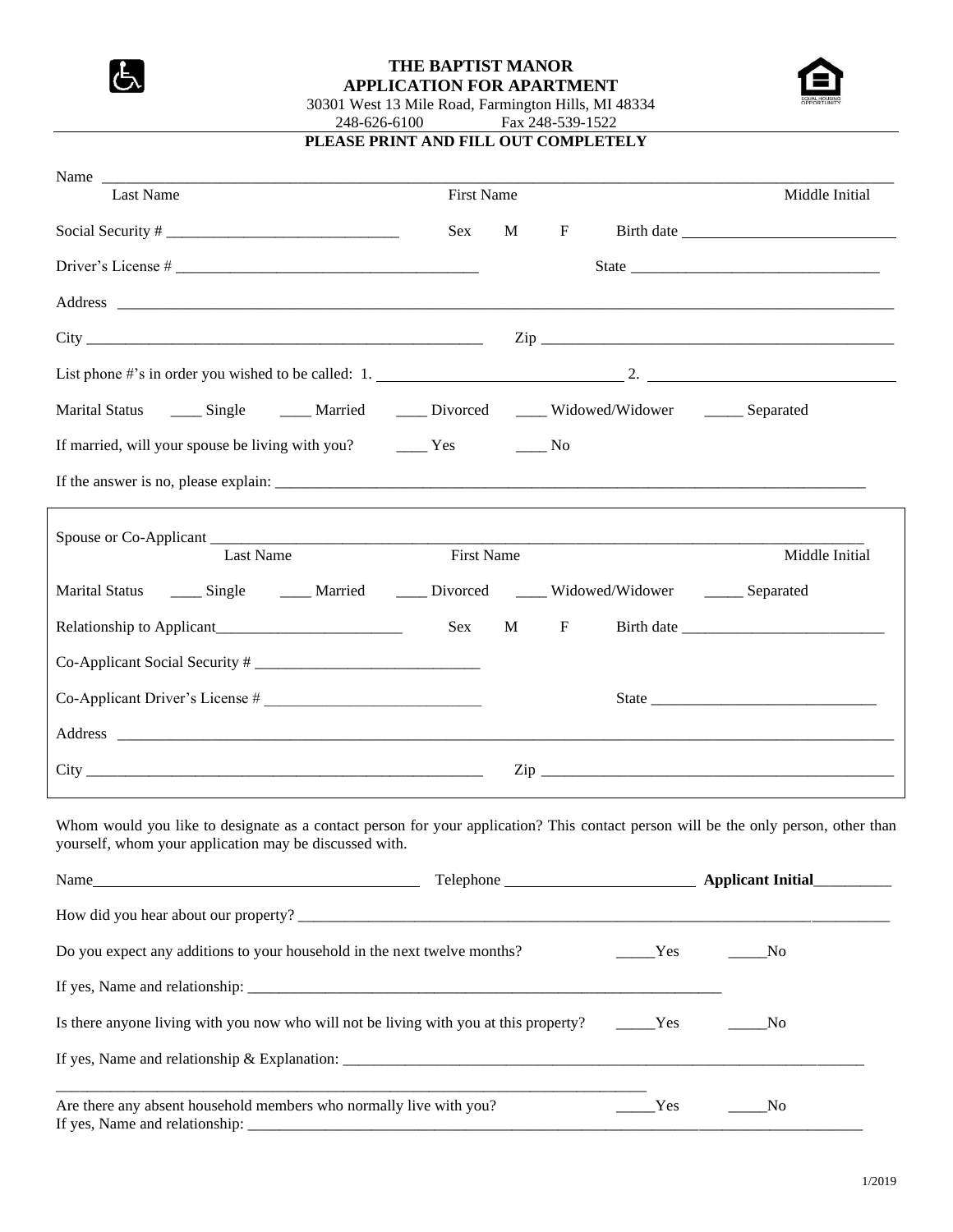

## **THE BAPTIST MANOR APPLICATION FOR APARTMENT**



30301 West 13 Mile Road, Farmington Hills, MI 48334 248-626-6100 Fax 248-539-1522 **PLEASE PRINT AND FILL OUT COMPLETELY**

| Name and the same state of the same state of the same state of the same state of the same state of the same state of the same state of the same state of the same state of the same state of the same state of the same state<br>Last Name | <b>First Name</b> |   |              |                                       | Middle Initial |
|--------------------------------------------------------------------------------------------------------------------------------------------------------------------------------------------------------------------------------------------|-------------------|---|--------------|---------------------------------------|----------------|
|                                                                                                                                                                                                                                            |                   |   |              |                                       |                |
|                                                                                                                                                                                                                                            | Sex               | M | $\mathbf{F}$ |                                       |                |
|                                                                                                                                                                                                                                            |                   |   |              |                                       |                |
|                                                                                                                                                                                                                                            |                   |   |              |                                       |                |
|                                                                                                                                                                                                                                            |                   |   |              |                                       |                |
|                                                                                                                                                                                                                                            |                   |   |              |                                       |                |
| Marital Status _______ Single _________ Married _______ Divorced ______ Widowed/Widower ________ Separated                                                                                                                                 |                   |   |              |                                       |                |
|                                                                                                                                                                                                                                            |                   |   |              |                                       |                |
|                                                                                                                                                                                                                                            |                   |   |              |                                       |                |
| Last Name                                                                                                                                                                                                                                  | <b>First Name</b> |   |              |                                       | Middle Initial |
|                                                                                                                                                                                                                                            |                   |   |              |                                       |                |
| Marital Status _______ Single _________ Married _______ Divorced ______ Widowed/Widower ________ Separated                                                                                                                                 |                   |   |              |                                       |                |
| Relationship to Applicant                                                                                                                                                                                                                  | Sex               |   | $M$ F        |                                       |                |
|                                                                                                                                                                                                                                            |                   |   |              |                                       |                |
| Co-Applicant Driver's License #                                                                                                                                                                                                            |                   |   |              |                                       |                |
|                                                                                                                                                                                                                                            |                   |   |              |                                       |                |
|                                                                                                                                                                                                                                            |                   |   |              |                                       |                |
| Whom would you like to designate as a contact person for your application? This contact person will be the only person, other than<br>yourself, whom your application may be discussed with.                                               |                   |   |              |                                       |                |
| Name                                                                                                                                                                                                                                       |                   |   |              |                                       |                |
|                                                                                                                                                                                                                                            |                   |   |              |                                       |                |
| Do you expect any additions to your household in the next twelve months?                                                                                                                                                                   |                   |   |              | $\frac{Y_{\text{es}}}{Y_{\text{es}}}$ | _No            |
|                                                                                                                                                                                                                                            |                   |   |              |                                       |                |
| Is there anyone living with you now who will not be living with you at this property? ________Yes                                                                                                                                          |                   |   |              |                                       | N <sub>0</sub> |
|                                                                                                                                                                                                                                            |                   |   |              |                                       |                |
| Are there any absent household members who normally live with you?                                                                                                                                                                         |                   |   |              | Yes                                   | $\sqrt{N}$     |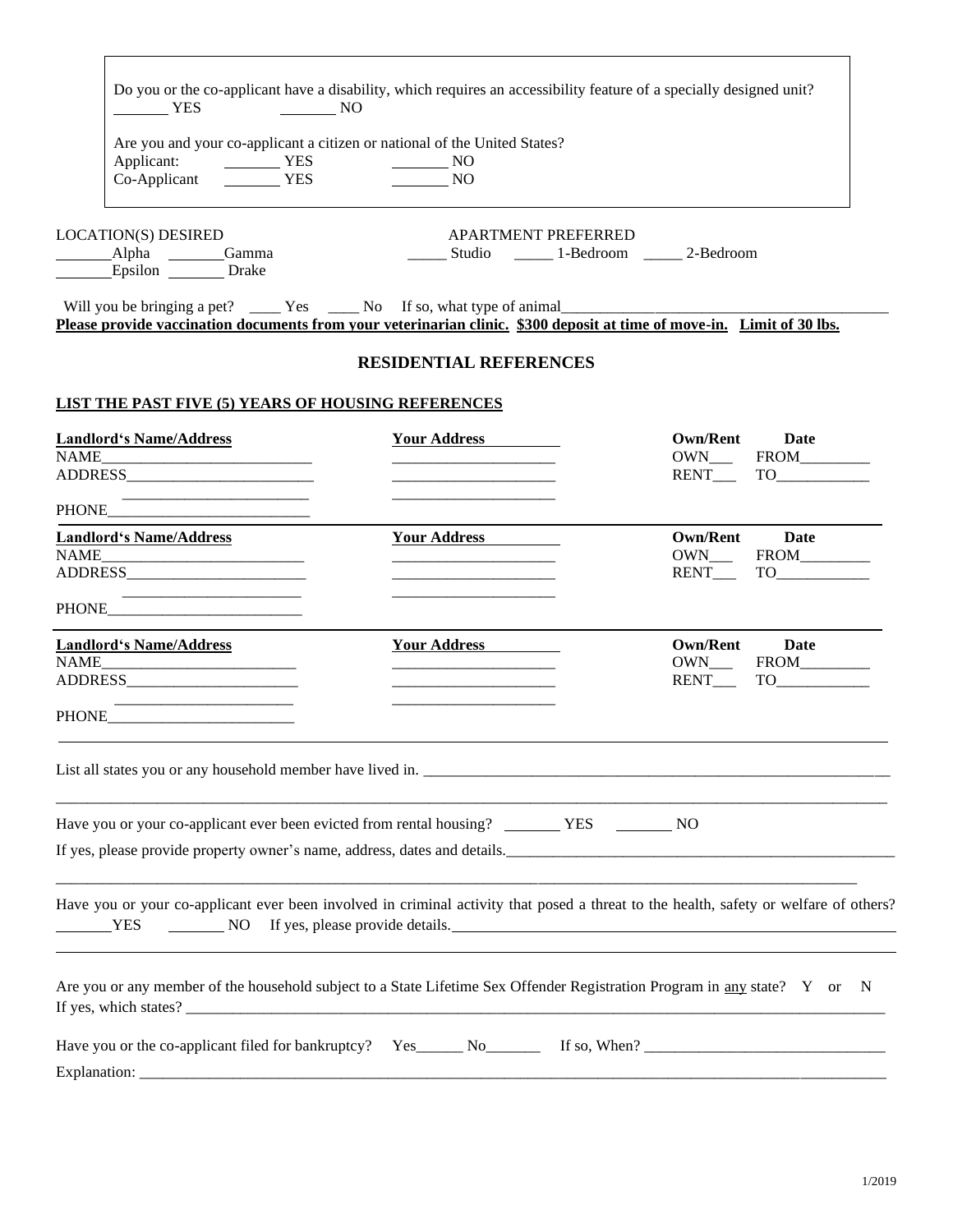| TES<br>$\sim$ NO                                                                                                       | Do you or the co-applicant have a disability, which requires an accessibility feature of a specially designed unit?                   |                                                                                                                                                                                 |
|------------------------------------------------------------------------------------------------------------------------|---------------------------------------------------------------------------------------------------------------------------------------|---------------------------------------------------------------------------------------------------------------------------------------------------------------------------------|
| Applicant: VES<br>Co Applicant<br>Co Applicant<br>Co Applicant<br>VES<br>VES<br>NO                                     | Are you and your co-applicant a citizen or national of the United States?                                                             |                                                                                                                                                                                 |
| <b>LOCATION(S) DESIRED</b><br>Alpha Gamma<br>Epsilon ________ Drake                                                    | <b>APARTMENT PREFERRED</b><br>_______ Studio _________ 1-Bedroom _______ 2-Bedroom                                                    |                                                                                                                                                                                 |
| Please provide vaccination documents from your veterinarian clinic. \$300 deposit at time of move-in. Limit of 30 lbs. |                                                                                                                                       |                                                                                                                                                                                 |
|                                                                                                                        | <b>RESIDENTIAL REFERENCES</b>                                                                                                         |                                                                                                                                                                                 |
| LIST THE PAST FIVE (5) YEARS OF HOUSING REFERENCES                                                                     |                                                                                                                                       |                                                                                                                                                                                 |
| <b>Landlord's Name/Address</b>                                                                                         | Your Address                                                                                                                          | Own/Rent Date<br>RENT TO                                                                                                                                                        |
| <u> 1989 - Johann Barbara, martin amerikan basar da</u><br>PHONE PHONE                                                 |                                                                                                                                       |                                                                                                                                                                                 |
| <b>Landlord's Name/Address</b>                                                                                         | Your Address<br><u> 1989 - Johann Barnett, fransk politik (d. 1989)</u>                                                               | Own/Rent Date                                                                                                                                                                   |
|                                                                                                                        |                                                                                                                                       |                                                                                                                                                                                 |
| <b>Landlord's Name/Address</b>                                                                                         | Your Address<br><u> 1989 - Johann Barbara, martin amerikan basar dan bagi dan bagi dalam bagi dalam bagi dalam bagi dalam bagi da</u> | Own/Rent Date                                                                                                                                                                   |
|                                                                                                                        |                                                                                                                                       |                                                                                                                                                                                 |
| List all states you or any household member have lived in.                                                             |                                                                                                                                       |                                                                                                                                                                                 |
| Have you or your co-applicant ever been evicted from rental housing? _________ YES _________ NO                        |                                                                                                                                       |                                                                                                                                                                                 |
|                                                                                                                        |                                                                                                                                       | If yes, please provide property owner's name, address, dates and details.                                                                                                       |
|                                                                                                                        | ,我们也不会有什么。""我们的人,我们也不会有什么?""我们的人,我们也不会有什么?""我们的人,我们也不会有什么?""我们的人,我们也不会有什么?""我们的人                                                      | Have you or your co-applicant ever been involved in criminal activity that posed a threat to the health, safety or welfare of others?<br>YES NO If yes, please provide details. |
|                                                                                                                        |                                                                                                                                       | Are you or any member of the household subject to a State Lifetime Sex Offender Registration Program in any state? Y or N                                                       |
|                                                                                                                        |                                                                                                                                       |                                                                                                                                                                                 |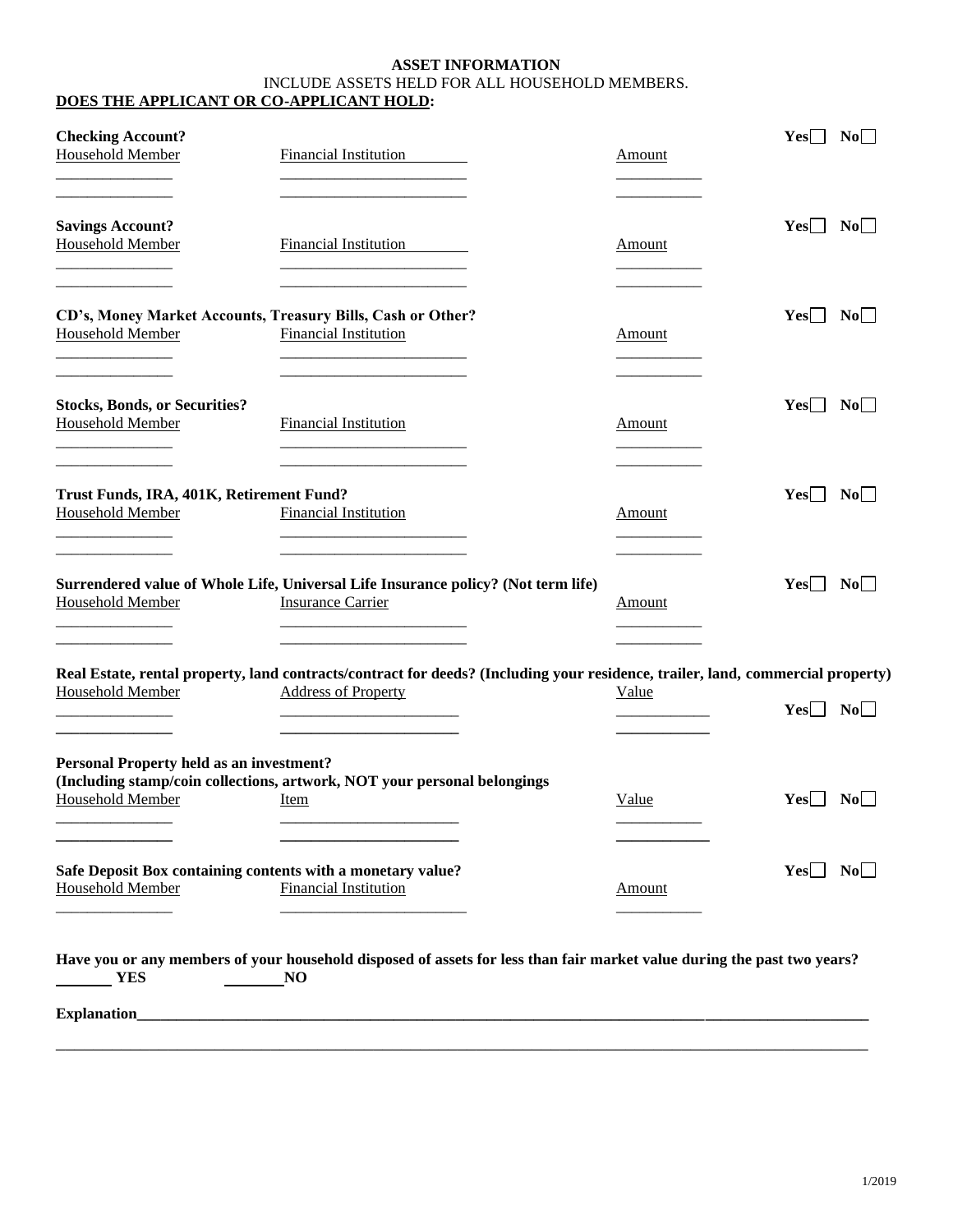## **ASSET INFORMATION** INCLUDE ASSETS HELD FOR ALL HOUSEHOLD MEMBERS. **DOES THE APPLICANT OR CO-APPLICANT HOLD:**

| <b>Checking Account?</b><br>Household Member                               | Financial Institution                                                                                                                                         | Amount        | $Yes \mid No \mid$                |
|----------------------------------------------------------------------------|---------------------------------------------------------------------------------------------------------------------------------------------------------------|---------------|-----------------------------------|
| <b>Savings Account?</b><br><b>Household Member</b>                         | <b>Financial Institution</b>                                                                                                                                  | Amount        | $Yes \Box No \Box$                |
| <b>Household Member</b>                                                    | CD's, Money Market Accounts, Treasury Bills, Cash or Other?<br><b>Financial Institution</b>                                                                   | Amount        | $Yes \mid \text{No} \mid$         |
| <b>Stocks, Bonds, or Securities?</b><br><b>Household Member</b>            | <b>Financial Institution</b>                                                                                                                                  | Amount        | Yes    <br>$\overline{\text{No}}$ |
| Trust Funds, IRA, 401K, Retirement Fund?<br><b>Household Member</b>        | <b>Financial Institution</b>                                                                                                                                  | <b>Amount</b> | $Yes \Box No \Box$                |
| Household Member                                                           | Surrendered value of Whole Life, Universal Life Insurance policy? (Not term life)<br><b>Insurance Carrier</b>                                                 | Amount        | $Yes \mid \text{No} \mid$         |
| Household Member                                                           | Real Estate, rental property, land contracts/contract for deeds? (Including your residence, trailer, land, commercial property)<br><b>Address of Property</b> | Value         | $Yes \Box No \Box$                |
| <b>Personal Property held as an investment?</b><br><b>Household Member</b> | (Including stamp/coin collections, artwork, NOT your personal belongings<br>Item                                                                              | Value         | YesH NoH                          |
| <b>Household Member</b>                                                    | Safe Deposit Box containing contents with a monetary value?<br><b>Financial Institution</b>                                                                   | Amount        | $Yes \Box No \Box$                |
| $\frac{1}{2}$ YES                                                          | Have you or any members of your household disposed of assets for less than fair market value during the past two years?<br><b>NO</b>                          |               |                                   |

\_\_\_\_\_\_\_\_\_\_\_\_\_\_\_\_\_\_\_\_\_\_\_\_\_\_\_\_\_\_\_\_\_\_\_\_\_\_\_\_\_\_\_\_\_\_\_\_\_\_\_\_\_\_\_\_\_\_\_\_\_\_\_\_\_\_\_\_\_\_\_\_\_\_\_\_\_\_\_\_\_\_\_\_\_\_\_

**Explanation\_\_\_\_\_\_\_\_\_\_\_\_\_\_\_\_\_\_\_\_\_\_\_\_\_\_\_\_\_\_\_\_\_\_\_\_\_\_\_\_\_\_\_\_\_\_\_\_\_\_\_\_\_\_\_\_\_\_\_\_\_\_\_\_\_\_\_\_\_\_\_\_\_\_\_\_\_\_\_\_\_\_\_\_\_\_\_\_\_\_\_\_\_\_**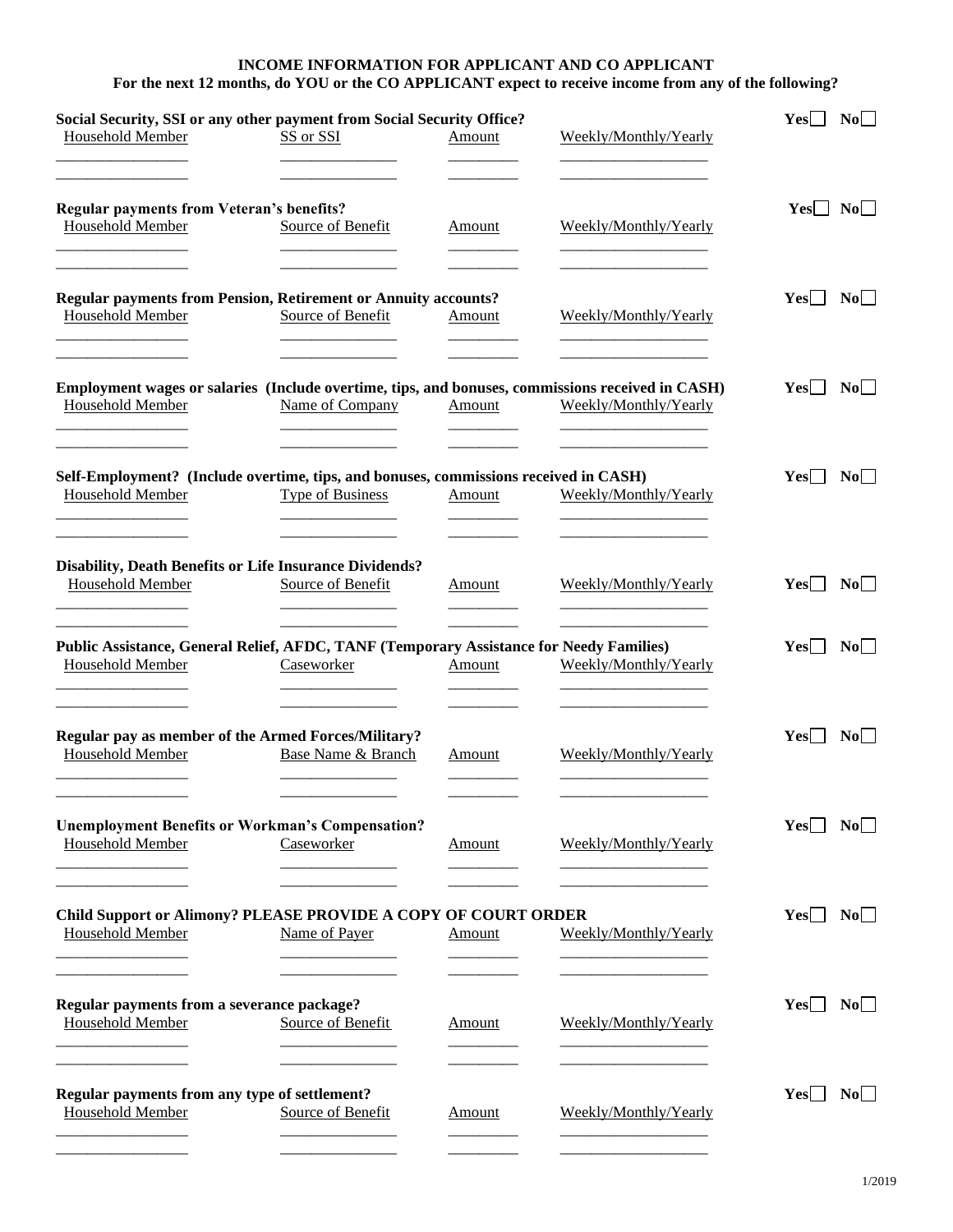## **INCOME INFORMATION FOR APPLICANT AND CO APPLICANT For the next 12 months, do YOU or the CO APPLICANT expect to receive income from any of the following?**

| Social Security, SSI or any other payment from Social Security Office?<br>Household Member                           | SS or SSI                     | Amount        | Weekly/Monthly/Yearly | $Yes \Box No \Box$ |           |
|----------------------------------------------------------------------------------------------------------------------|-------------------------------|---------------|-----------------------|--------------------|-----------|
| <b>Regular payments from Veteran's benefits?</b><br><b>Household Member</b>                                          | Source of Benefit             | Amount        | Weekly/Monthly/Yearly | $Yes \mid No$      |           |
| <b>Regular payments from Pension, Retirement or Annuity accounts?</b><br>Household Member                            | Source of Benefit             | Amount        | Weekly/Monthly/Yearly | $Yes \Box No \Box$ |           |
| Employment wages or salaries (Include overtime, tips, and bonuses, commissions received in CASH)<br>Household Member | Name of Company               | Amount        | Weekly/Monthly/Yearly | $Yes \mid No \mid$ |           |
| Self-Employment? (Include overtime, tips, and bonuses, commissions received in CASH)<br>Household Member             | Type of Business              | Amount        | Weekly/Monthly/Yearly | Yes                | $\bf{No}$ |
| <b>Disability, Death Benefits or Life Insurance Dividends?</b><br>Household Member                                   | Source of Benefit             | Amount        | Weekly/Monthly/Yearly | Yes                | $\bf No$  |
| Public Assistance, General Relief, AFDC, TANF (Temporary Assistance for Needy Families)<br>Household Member          | Caseworker                    | Amount        | Weekly/Monthly/Yearly | $Yes \mid No \mid$ |           |
| Regular pay as member of the Armed Forces/Military?<br><b>Household Member</b>                                       | <b>Base Name &amp; Branch</b> | Amount        | Weekly/Monthly/Yearly | $Yes$              | $\bf No$  |
| <b>Unemployment Benefits or Workman's Compensation?</b><br><b>Household Member</b>                                   | Caseworker                    | Amount        | Weekly/Monthly/Yearly | Yes                | No        |
| Child Support or Alimony? PLEASE PROVIDE A COPY OF COURT ORDER<br>Household Member                                   | Name of Payer                 | Amount        | Weekly/Monthly/Yearly | Yes                | $\bf No$  |
| Regular payments from a severance package?<br><b>Household Member</b>                                                | Source of Benefit             | Amount        | Weekly/Monthly/Yearly | $Yes \mid No \mid$ |           |
| Regular payments from any type of settlement?<br>Household Member                                                    | Source of Benefit             | <b>Amount</b> | Weekly/Monthly/Yearly | $Yes$              | No        |
|                                                                                                                      |                               |               |                       |                    |           |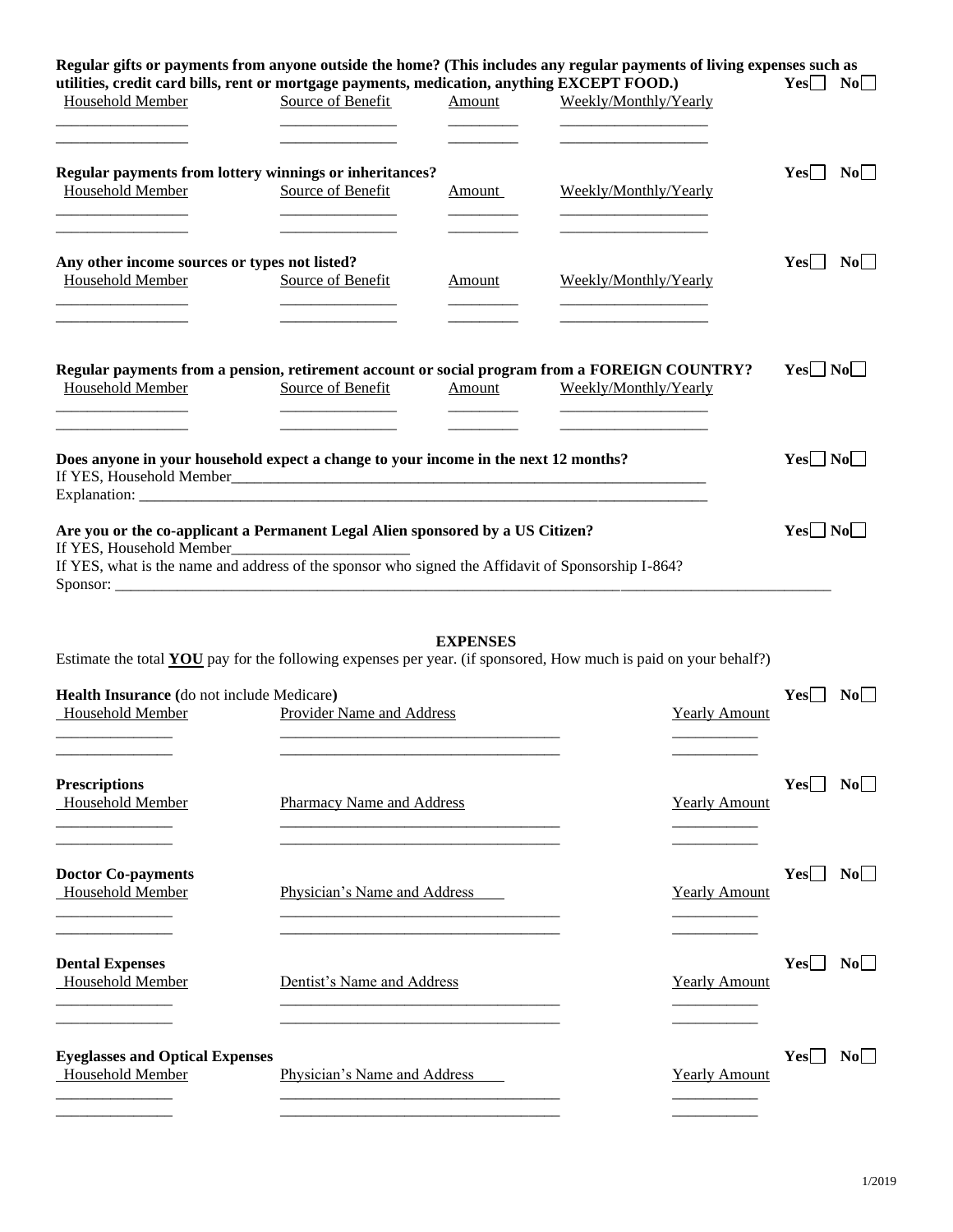| utilities, credit card bills, rent or mortgage payments, medication, anything EXCEPT FOOD.)<br>Household Member                                                                                                                                                                                                                      | Source of Benefit                | Amount          | Regular gifts or payments from anyone outside the home? (This includes any regular payments of living expenses such as<br>Weekly/Monthly/Yearly | Yes    <br>No        |
|--------------------------------------------------------------------------------------------------------------------------------------------------------------------------------------------------------------------------------------------------------------------------------------------------------------------------------------|----------------------------------|-----------------|-------------------------------------------------------------------------------------------------------------------------------------------------|----------------------|
| Regular payments from lottery winnings or inheritances?<br><b>Household Member</b>                                                                                                                                                                                                                                                   | Source of Benefit                | Amount          | Weekly/Monthly/Yearly                                                                                                                           | Yes    <br>$\bf{No}$ |
| Any other income sources or types not listed?<br>Household Member                                                                                                                                                                                                                                                                    | Source of Benefit                | Amount          | Weekly/Monthly/Yearly<br><u> 1980 - Johann Barbara, martin a</u>                                                                                | Yes<br>No            |
| Regular payments from a pension, retirement account or social program from a FOREIGN COUNTRY?<br>Household Member                                                                                                                                                                                                                    | Source of Benefit                | Amount          | Weekly/Monthly/Yearly                                                                                                                           | $Yes \Box No \Box$   |
| Does anyone in your household expect a change to your income in the next 12 months?                                                                                                                                                                                                                                                  |                                  |                 |                                                                                                                                                 | $Yes \Box No \Box$   |
| Are you or the co-applicant a Permanent Legal Alien sponsored by a US Citizen?<br>If YES, Household Member<br>If YES, what is the name and address of the sponsor who signed the Affidavit of Sponsorship I-864?<br>Estimate the total YOU pay for the following expenses per year. (if sponsored, How much is paid on your behalf?) |                                  | <b>EXPENSES</b> |                                                                                                                                                 | $Yes \Box No \Box$   |
| Health Insurance (do not include Medicare)<br><b>Household Member</b>                                                                                                                                                                                                                                                                | Provider Name and Address        |                 | <b>Yearly Amount</b>                                                                                                                            | $Yes \mid No$        |
| <b>Prescriptions</b><br>Household Member                                                                                                                                                                                                                                                                                             | <b>Pharmacy Name and Address</b> |                 | <b>Yearly Amount</b>                                                                                                                            | Yes<br>$\bf{No}$     |
| <b>Doctor Co-payments</b><br><b>Household Member</b>                                                                                                                                                                                                                                                                                 | Physician's Name and Address     |                 | <b>Yearly Amount</b>                                                                                                                            | No<br>Yes            |
| <b>Dental Expenses</b><br>Household Member                                                                                                                                                                                                                                                                                           | Dentist's Name and Address       |                 | <b>Yearly Amount</b>                                                                                                                            | Yes<br>No            |
| <b>Eyeglasses and Optical Expenses</b><br>Household Member                                                                                                                                                                                                                                                                           | Physician's Name and Address     |                 | <b>Yearly Amount</b>                                                                                                                            | Yes<br>No            |
|                                                                                                                                                                                                                                                                                                                                      |                                  |                 |                                                                                                                                                 |                      |